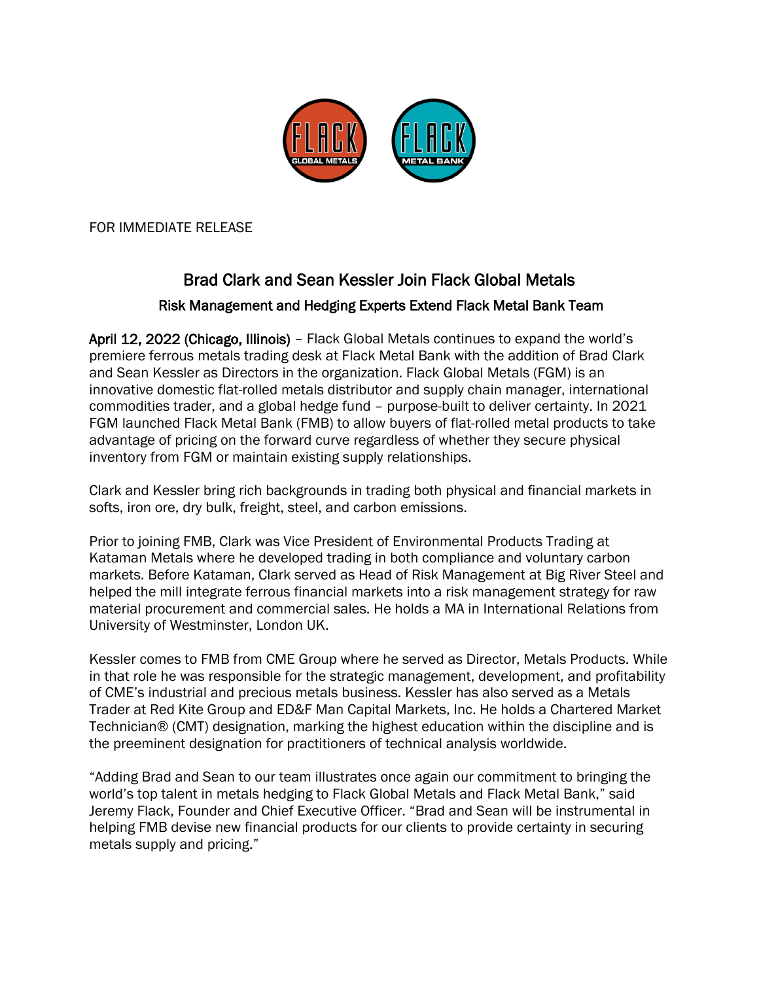

FOR IMMEDIATE RELEASE

## Brad Clark and Sean Kessler Join Flack Global Metals Risk Management and Hedging Experts Extend Flack Metal Bank Team

April 12, 2022 (Chicago, Illinois) – Flack Global Metals continues to expand the world's premiere ferrous metals trading desk at Flack Metal Bank with the addition of Brad Clark and Sean Kessler as Directors in the organization. Flack Global Metals (FGM) is an innovative domestic flat-rolled metals distributor and supply chain manager, international commodities trader, and a global hedge fund – purpose-built to deliver certainty. In 2021 FGM launched Flack Metal Bank (FMB) to allow buyers of flat-rolled metal products to take advantage of pricing on the forward curve regardless of whether they secure physical inventory from FGM or maintain existing supply relationships.

Clark and Kessler bring rich backgrounds in trading both physical and financial markets in softs, iron ore, dry bulk, freight, steel, and carbon emissions.

Prior to joining FMB, Clark was Vice President of Environmental Products Trading at Kataman Metals where he developed trading in both compliance and voluntary carbon markets. Before Kataman, Clark served as Head of Risk Management at Big River Steel and helped the mill integrate ferrous financial markets into a risk management strategy for raw material procurement and commercial sales. He holds a MA in International Relations from University of Westminster, London UK.

Kessler comes to FMB from CME Group where he served as Director, Metals Products. While in that role he was responsible for the strategic management, development, and profitability of CME's industrial and precious metals business. Kessler has also served as a Metals Trader at Red Kite Group and ED&F Man Capital Markets, Inc. He holds a Chartered Market Technician® (CMT) designation, marking the highest education within the discipline and is the preeminent designation for practitioners of technical analysis worldwide.

"Adding Brad and Sean to our team illustrates once again our commitment to bringing the world's top talent in metals hedging to Flack Global Metals and Flack Metal Bank," said Jeremy Flack, Founder and Chief Executive Officer. "Brad and Sean will be instrumental in helping FMB devise new financial products for our clients to provide certainty in securing metals supply and pricing."